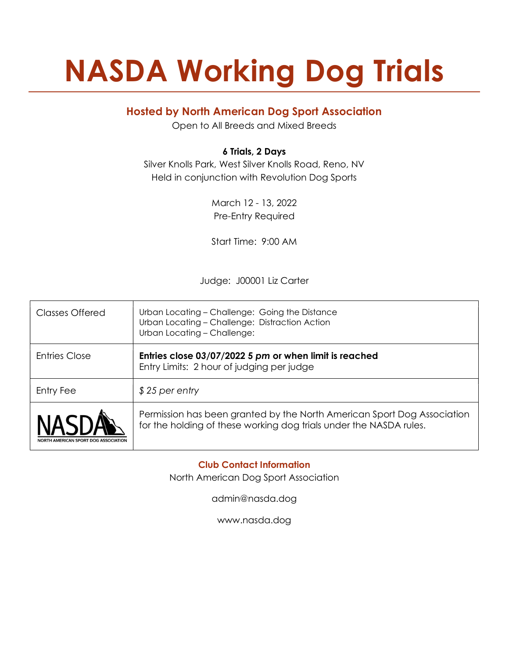# NASDA Working Dog Trials

## Hosted by North American Dog Sport Association

Open to All Breeds and Mixed Breeds

## 6 Trials, 2 Days

Silver Knolls Park, West Silver Knolls Road, Reno, NV Held in conjunction with Revolution Dog Sports

> March 12 - 13, 2022 Pre-Entry Required

> Start Time: 9:00 AM

Judge: J00001 Liz Carter

| Classes Offered                      | Urban Locating - Challenge: Going the Distance<br>Urban Locating - Challenge: Distraction Action<br>Urban Locating - Challenge:               |  |  |
|--------------------------------------|-----------------------------------------------------------------------------------------------------------------------------------------------|--|--|
| <b>Entries Close</b>                 | Entries close 03/07/2022 5 pm or when limit is reached<br>Entry Limits: 2 hour of judging per judge                                           |  |  |
| Entry Fee                            | $$25$ per entry                                                                                                                               |  |  |
| NORTH AMERICAN SPORT DOG ASSOCIATION | Permission has been granted by the North American Sport Dog Association<br>for the holding of these working dog trials under the NASDA rules. |  |  |

Club Contact Information

North American Dog Sport Association

admin@nasda.dog

www.nasda.dog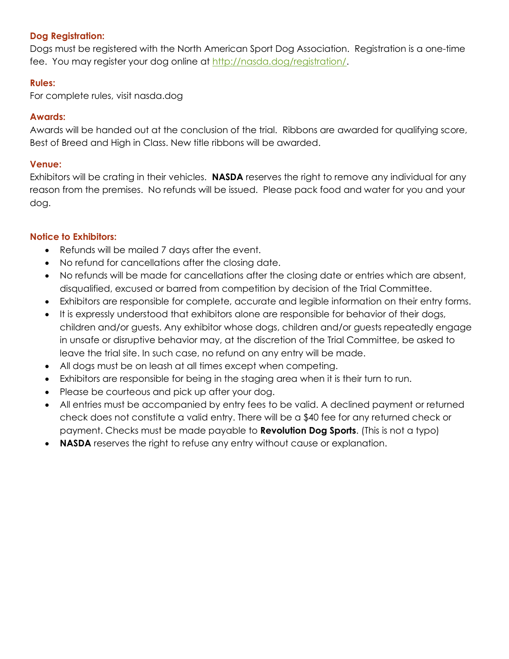## Dog Registration:

Dogs must be registered with the North American Sport Dog Association. Registration is a one-time fee. You may register your dog online at http://nasda.dog/registration/.

## Rules:

For complete rules, visit nasda.dog

#### Awards:

Awards will be handed out at the conclusion of the trial. Ribbons are awarded for qualifying score, Best of Breed and High in Class. New title ribbons will be awarded.

## Venue:

Exhibitors will be crating in their vehicles. **NASDA** reserves the right to remove any individual for any reason from the premises. No refunds will be issued. Please pack food and water for you and your dog.

## Notice to Exhibitors:

- Refunds will be mailed 7 days after the event.
- No refund for cancellations after the closing date.
- No refunds will be made for cancellations after the closing date or entries which are absent, disqualified, excused or barred from competition by decision of the Trial Committee.
- Exhibitors are responsible for complete, accurate and legible information on their entry forms.
- It is expressly understood that exhibitors alone are responsible for behavior of their dogs, children and/or guests. Any exhibitor whose dogs, children and/or guests repeatedly engage in unsafe or disruptive behavior may, at the discretion of the Trial Committee, be asked to leave the trial site. In such case, no refund on any entry will be made.
- All dogs must be on leash at all times except when competing.
- Exhibitors are responsible for being in the staging area when it is their turn to run.
- Please be courteous and pick up after your dog.
- All entries must be accompanied by entry fees to be valid. A declined payment or returned check does not constitute a valid entry. There will be a \$40 fee for any returned check or payment. Checks must be made payable to Revolution Dog Sports. (This is not a typo)
- NASDA reserves the right to refuse any entry without cause or explanation.